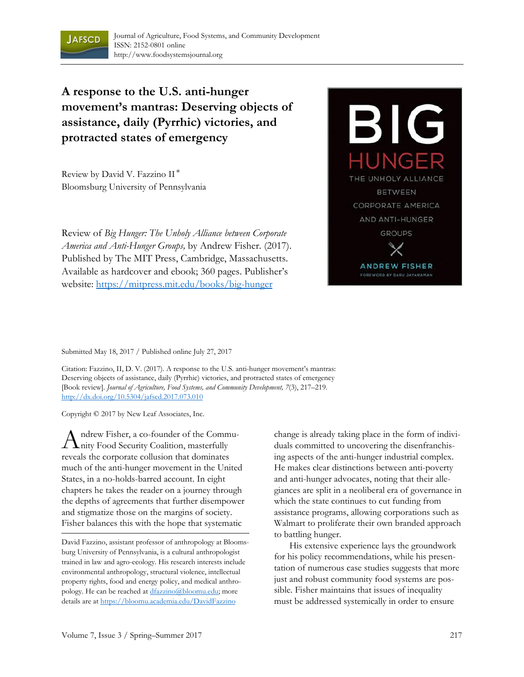

**A response to the U.S. anti-hunger movement's mantras: Deserving objects of assistance, daily (Pyrrhic) victories, and protracted states of emergency** 

Review by David V. Fazzino II \* Bloomsburg University of Pennsylvania

Review of *Big Hunger: The Unholy Alliance between Corporate America and Anti-Hunger Groups,* by Andrew Fisher*.* (2017). Published by The MIT Press, Cambridge, Massachusetts. Available as hardcover and ebook; 360 pages. Publisher's website: https://mitpress.mit.edu/books/big-hunger



Submitted May 18, 2017 / Published online July 27, 2017

Citation: Fazzino, II, D. V. (2017). A response to the U.S. anti-hunger movement's mantras: Deserving objects of assistance, daily (Pyrrhic) victories, and protracted states of emergency [Book review]. *Journal of Agriculture, Food Systems, and Community Development, 7*(3), 217–219*.*  http://dx.doi.org/10.5304/jafscd.2017.073.010

Copyright © 2017 by New Leaf Associates, Inc.

ndrew Fisher, a co-founder of the Commu- $A$ ndrew Fisher, a co-founder of the Comm<br>Anity Food Security Coalition, masterfully reveals the corporate collusion that dominates much of the anti-hunger movement in the United States, in a no-holds-barred account. In eight chapters he takes the reader on a journey through the depths of agreements that further disempower and stigmatize those on the margins of society. Fisher balances this with the hope that systematic

change is already taking place in the form of individuals committed to uncovering the disenfranchising aspects of the anti-hunger industrial complex. He makes clear distinctions between anti-poverty and anti-hunger advocates, noting that their allegiances are split in a neoliberal era of governance in which the state continues to cut funding from assistance programs, allowing corporations such as Walmart to proliferate their own branded approach to battling hunger.

 His extensive experience lays the groundwork for his policy recommendations, while his presentation of numerous case studies suggests that more just and robust community food systems are possible. Fisher maintains that issues of inequality must be addressed systemically in order to ensure

David Fazzino, assistant professor of anthropology at Bloomsburg University of Pennsylvania, is a cultural anthropologist trained in law and agro-ecology. His research interests include environmental anthropology, structural violence, intellectual property rights, food and energy policy, and medical anthropology. He can be reached at dfazzino@bloomu.edu; more details are at https://bloomu.academia.edu/DavidFazzino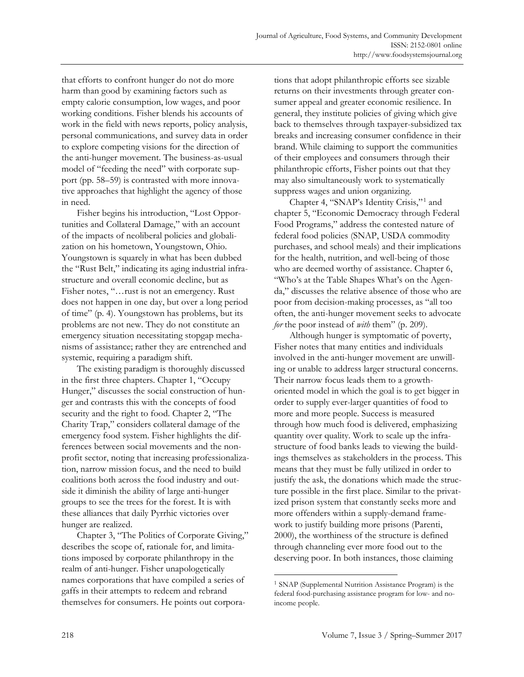that efforts to confront hunger do not do more harm than good by examining factors such as empty calorie consumption, low wages, and poor working conditions. Fisher blends his accounts of work in the field with news reports, policy analysis, personal communications, and survey data in order to explore competing visions for the direction of the anti-hunger movement. The business-as-usual model of "feeding the need" with corporate support (pp. 58–59) is contrasted with more innovative approaches that highlight the agency of those in need.

 Fisher begins his introduction, "Lost Opportunities and Collateral Damage," with an account of the impacts of neoliberal policies and globalization on his hometown, Youngstown, Ohio. Youngstown is squarely in what has been dubbed the "Rust Belt," indicating its aging industrial infrastructure and overall economic decline, but as Fisher notes, "…rust is not an emergency. Rust does not happen in one day, but over a long period of time" (p. 4). Youngstown has problems, but its problems are not new. They do not constitute an emergency situation necessitating stopgap mechanisms of assistance; rather they are entrenched and systemic, requiring a paradigm shift.

 The existing paradigm is thoroughly discussed in the first three chapters. Chapter 1, "Occupy Hunger," discusses the social construction of hunger and contrasts this with the concepts of food security and the right to food. Chapter 2, "The Charity Trap," considers collateral damage of the emergency food system. Fisher highlights the differences between social movements and the nonprofit sector, noting that increasing professionalization, narrow mission focus, and the need to build coalitions both across the food industry and outside it diminish the ability of large anti-hunger groups to see the trees for the forest. It is with these alliances that daily Pyrrhic victories over hunger are realized.

 Chapter 3, "The Politics of Corporate Giving," describes the scope of, rationale for, and limitations imposed by corporate philanthropy in the realm of anti-hunger. Fisher unapologetically names corporations that have compiled a series of gaffs in their attempts to redeem and rebrand themselves for consumers. He points out corporations that adopt philanthropic efforts see sizable returns on their investments through greater consumer appeal and greater economic resilience. In general, they institute policies of giving which give back to themselves through taxpayer-subsidized tax breaks and increasing consumer confidence in their brand. While claiming to support the communities of their employees and consumers through their philanthropic efforts, Fisher points out that they may also simultaneously work to systematically suppress wages and union organizing.

Chapter 4, "SNAP's Identity Crisis,"<sup>1</sup> and chapter 5, "Economic Democracy through Federal Food Programs," address the contested nature of federal food policies (SNAP, USDA commodity purchases, and school meals) and their implications for the health, nutrition, and well-being of those who are deemed worthy of assistance. Chapter 6, "Who's at the Table Shapes What's on the Agenda," discusses the relative absence of those who are poor from decision-making processes, as "all too often, the anti-hunger movement seeks to advocate *for* the poor instead of *with* them" (p. 209).

 Although hunger is symptomatic of poverty, Fisher notes that many entities and individuals involved in the anti-hunger movement are unwilling or unable to address larger structural concerns. Their narrow focus leads them to a growthoriented model in which the goal is to get bigger in order to supply ever-larger quantities of food to more and more people. Success is measured through how much food is delivered, emphasizing quantity over quality. Work to scale up the infrastructure of food banks leads to viewing the buildings themselves as stakeholders in the process. This means that they must be fully utilized in order to justify the ask, the donations which made the structure possible in the first place. Similar to the privatized prison system that constantly seeks more and more offenders within a supply-demand framework to justify building more prisons (Parenti, 2000), the worthiness of the structure is defined through channeling ever more food out to the deserving poor. In both instances, those claiming

 $\overline{a}$ 

<sup>1</sup> SNAP (Supplemental Nutrition Assistance Program) is the federal food-purchasing assistance program for low- and noincome people.